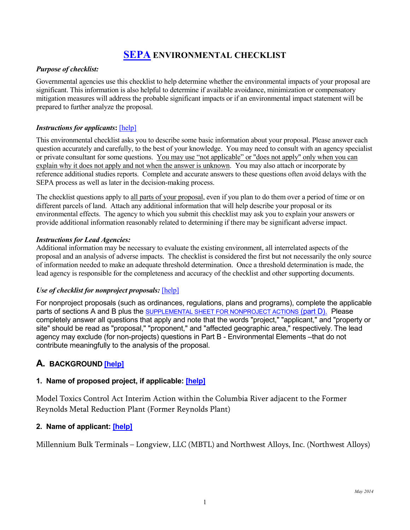# **[SEPA](http://www.ecy.wa.gov/programs/sea/sepa/e-review.html) ENVIRONMENTAL CHECKLIST**

#### *Purpose of checklist:*

Governmental agencies use this checklist to help determine whether the environmental impacts of your proposal are significant. This information is also helpful to determine if available avoidance, minimization or compensatory mitigation measures will address the probable significant impacts or if an environmental impact statement will be prepared to further analyze the proposal.

#### *Instructions for applicants***:** [\[help\]](http://sepaguidance.epermitting.org/DesktopModules/help.aspx?project=0&node=471)

This environmental checklist asks you to describe some basic information about your proposal. Please answer each question accurately and carefully, to the best of your knowledge. You may need to consult with an agency specialist or private consultant for some questions. You may use "not applicable" or "does not apply" only when you can explain why it does not apply and not when the answer is unknown. You may also attach or incorporate by reference additional studies reports. Complete and accurate answers to these questions often avoid delays with the SEPA process as well as later in the decision-making process.

The checklist questions apply to all parts of your proposal, even if you plan to do them over a period of time or on different parcels of land. Attach any additional information that will help describe your proposal or its environmental effects. The agency to which you submit this checklist may ask you to explain your answers or provide additional information reasonably related to determining if there may be significant adverse impact.

#### *Instructions for Lead Agencies:*

Additional information may be necessary to evaluate the existing environment, all interrelated aspects of the proposal and an analysis of adverse impacts. The checklist is considered the first but not necessarily the only source of information needed to make an adequate threshold determination. Once a threshold determination is made, the lead agency is responsible for the completeness and accuracy of the checklist and other supporting documents.

#### *Use of checklist for nonproject proposals:* [\[help\]](http://sepaguidance.epermitting.wa.gov/DesktopModules/help.aspx?project=0&node=687)

For nonproject proposals (such as ordinances, regulations, plans and programs), complete the applicable parts of sections A and B plus the [SUPPLEMENTAL SHEET FOR NONPROJECT ACTIONS](#page-22-0) (part D). Please completely answer all questions that apply and note that the words "project," "applicant," and "property or site" should be read as "proposal," "proponent," and "affected geographic area," respectively. The lead agency may exclude (for non-projects) questions in Part B - Environmental Elements –that do not contribute meaningfully to the analysis of the proposal.

## **A. BACKGROUND [\[help\]](http://sepaguidance.epermitting.org/DesktopModules/help.aspx?project=0&node=552)**

#### **1. Name of proposed project, if applicable: [\[help\]](http://sepaguidance.epermitting.wa.gov/DesktopModules/help.aspx?project=0&node=553)**

Model Toxics Control Act Interim Action within the Columbia River adjacent to the Former Reynolds Metal Reduction Plant (Former Reynolds Plant)

#### **2. Name of applicant: [\[help\]](http://sepaguidance.epermitting.wa.gov/DesktopModules/help.aspx?project=0&node=554)**

Millennium Bulk Terminals – Longview, LLC (MBTL) and Northwest Alloys, Inc. (Northwest Alloys)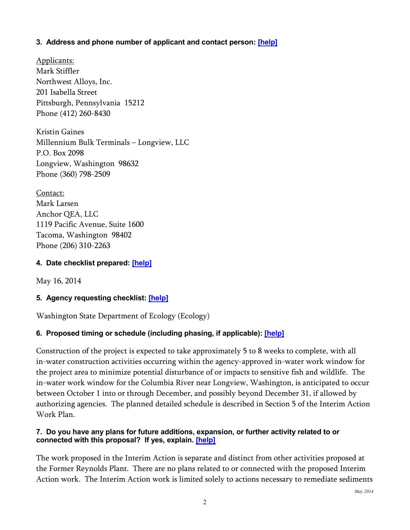## **3. Address and phone number of applicant and contact person: [\[help\]](http://sepaguidance.epermitting.wa.gov/DesktopModules/help.aspx?project=0&node=555)**

Applicants: Mark Stiffler Northwest Alloys, Inc. 201 Isabella Street Pittsburgh, Pennsylvania 15212 Phone (412) 260-8430

Kristin Gaines Millennium Bulk Terminals – Longview, LLC P.O. Box 2098 Longview, Washington 98632 Phone (360) 798-2509

Contact: Mark Larsen Anchor QEA, LLC 1119 Pacific Avenue, Suite 1600 Tacoma, Washington 98402 Phone (206) 310-2263

# **4. Date checklist prepared: [\[help\]](http://sepaguidance.epermitting.wa.gov/DesktopModules/help.aspx?project=0&node=556)**

May 16, 2014

# **5. Agency requesting checklist: [\[help\]](http://sepaguidance.epermitting.wa.gov/DesktopModules/help.aspx?project=0&node=557)**

Washington State Department of Ecology (Ecology)

# **6. Proposed timing or schedule (including phasing, if applicable): [\[help\]](http://sepaguidance.epermitting.wa.gov/DesktopModules/help.aspx?project=0&node=558)**

Construction of the project is expected to take approximately 5 to 8 weeks to complete, with all in-water construction activities occurring within the agency-approved in-water work window for the project area to minimize potential disturbance of or impacts to sensitive fish and wildlife. The in-water work window for the Columbia River near Longview, Washington, is anticipated to occur between October 1 into or through December, and possibly beyond December 31, if allowed by authorizing agencies. The planned detailed schedule is described in Section 5 of the Interim Action Work Plan.

### **7. Do you have any plans for future additions, expansion, or further activity related to or connected with this proposal? If yes, explain. [\[help\]](http://sepaguidance.epermitting.wa.gov/DesktopModules/help.aspx?project=0&node=559)**

The work proposed in the Interim Action is separate and distinct from other activities proposed at the Former Reynolds Plant. There are no plans related to or connected with the proposed Interim Action work. The Interim Action work is limited solely to actions necessary to remediate sediments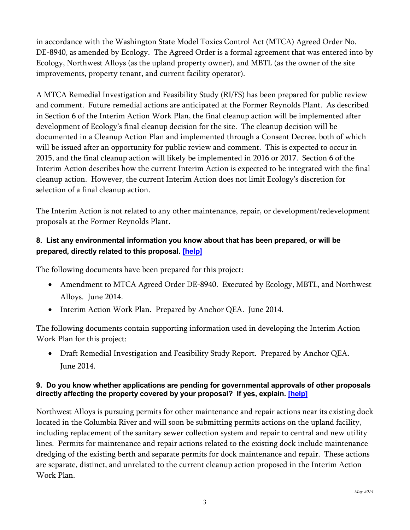in accordance with the Washington State Model Toxics Control Act (MTCA) Agreed Order No. DE-8940, as amended by Ecology. The Agreed Order is a formal agreement that was entered into by Ecology, Northwest Alloys (as the upland property owner), and MBTL (as the owner of the site improvements, property tenant, and current facility operator).

A MTCA Remedial Investigation and Feasibility Study (RI/FS) has been prepared for public review and comment. Future remedial actions are anticipated at the Former Reynolds Plant. As described in Section 6 of the Interim Action Work Plan, the final cleanup action will be implemented after development of Ecology's final cleanup decision for the site. The cleanup decision will be documented in a Cleanup Action Plan and implemented through a Consent Decree, both of which will be issued after an opportunity for public review and comment. This is expected to occur in 2015, and the final cleanup action will likely be implemented in 2016 or 2017. Section 6 of the Interim Action describes how the current Interim Action is expected to be integrated with the final cleanup action. However, the current Interim Action does not limit Ecology's discretion for selection of a final cleanup action.

The Interim Action is not related to any other maintenance, repair, or development/redevelopment proposals at the Former Reynolds Plant.

# **8. List any environmental information you know about that has been prepared, or will be prepared, directly related to this proposal. [\[help\]](http://sepaguidance.epermitting.wa.gov/DesktopModules/help.aspx?project=0&node=560)**

The following documents have been prepared for this project:

- Amendment to MTCA Agreed Order DE-8940. Executed by Ecology, MBTL, and Northwest Alloys. June 2014.
- Interim Action Work Plan. Prepared by Anchor QEA. June 2014.

The following documents contain supporting information used in developing the Interim Action Work Plan for this project:

• Draft Remedial Investigation and Feasibility Study Report. Prepared by Anchor QEA. June 2014.

# **9. Do you know whether applications are pending for governmental approvals of other proposals directly affecting the property covered by your proposal? If yes, explain. [\[help\]](http://sepaguidance.epermitting.wa.gov/DesktopModules/help.aspx?project=0&node=561)**

Northwest Alloys is pursuing permits for other maintenance and repair actions near its existing dock located in the Columbia River and will soon be submitting permits actions on the upland facility, including replacement of the sanitary sewer collection system and repair to central and new utility lines. Permits for maintenance and repair actions related to the existing dock include maintenance dredging of the existing berth and separate permits for dock maintenance and repair. These actions are separate, distinct, and unrelated to the current cleanup action proposed in the Interim Action Work Plan.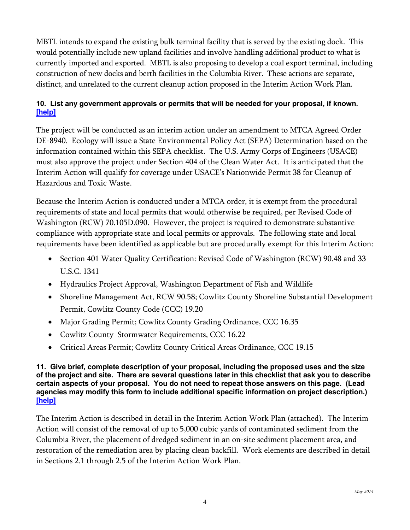MBTL intends to expand the existing bulk terminal facility that is served by the existing dock. This would potentially include new upland facilities and involve handling additional product to what is currently imported and exported. MBTL is also proposing to develop a coal export terminal, including construction of new docks and berth facilities in the Columbia River. These actions are separate, distinct, and unrelated to the current cleanup action proposed in the Interim Action Work Plan.

# **10. List any government approvals or permits that will be needed for your proposal, if known. [\[help\]](http://sepaguidance.epermitting.wa.gov/DesktopModules/help.aspx?project=0&node=562)**

The project will be conducted as an interim action under an amendment to MTCA Agreed Order DE-8940. Ecology will issue a State Environmental Policy Act (SEPA) Determination based on the information contained within this SEPA checklist. The U.S. Army Corps of Engineers (USACE) must also approve the project under Section 404 of the Clean Water Act. It is anticipated that the Interim Action will qualify for coverage under USACE's Nationwide Permit 38 for Cleanup of Hazardous and Toxic Waste.

Because the Interim Action is conducted under a MTCA order, it is exempt from the procedural requirements of state and local permits that would otherwise be required, per Revised Code of Washington (RCW) 70.105D.090. However, the project is required to demonstrate substantive compliance with appropriate state and local permits or approvals. The following state and local requirements have been identified as applicable but are procedurally exempt for this Interim Action:

- Section 401 Water Quality Certification: Revised Code of Washington (RCW) 90.48 and 33 U.S.C. 1341
- Hydraulics Project Approval, Washington Department of Fish and Wildlife
- Shoreline Management Act, RCW 90.58; Cowlitz County Shoreline Substantial Development Permit, Cowlitz County Code (CCC) 19.20
- Major Grading Permit; Cowlitz County Grading Ordinance, CCC 16.35
- Cowlitz County Stormwater Requirements, CCC 16.22
- Critical Areas Permit; Cowlitz County Critical Areas Ordinance, CCC 19.15

**11. Give brief, complete description of your proposal, including the proposed uses and the size of the project and site. There are several questions later in this checklist that ask you to describe certain aspects of your proposal. You do not need to repeat those answers on this page. (Lead agencies may modify this form to include additional specific information on project description.) [\[help\]](http://sepaguidance.epermitting.wa.gov/DesktopModules/help.aspx?project=0&node=563)**

The Interim Action is described in detail in the Interim Action Work Plan (attached). The Interim Action will consist of the removal of up to 5,000 cubic yards of contaminated sediment from the Columbia River, the placement of dredged sediment in an on-site sediment placement area, and restoration of the remediation area by placing clean backfill. Work elements are described in detail in Sections 2.1 through 2.5 of the Interim Action Work Plan.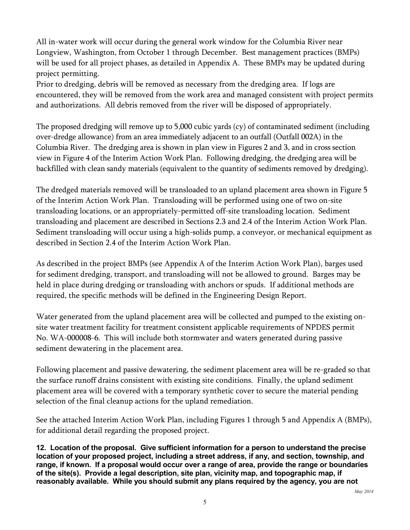All in-water work will occur during the general work window for the Columbia River near Longview, Washington, from October 1 through December. Best management practices (BMPs) will be used for all project phases, as detailed in Appendix A. These BMPs may be updated during project permitting.

Prior to dredging, debris will be removed as necessary from the dredging area. If logs are encountered, they will be removed from the work area and managed consistent with project permits and authorizations. All debris removed from the river will be disposed of appropriately.

The proposed dredging will remove up to 5,000 cubic yards (cy) of contaminated sediment (including over-dredge allowance) from an area immediately adjacent to an outfall (Outfall 002A) in the Columbia River. The dredging area is shown in plan view in Figures 2 and 3, and in cross section view in Figure 4 of the Interim Action Work Plan. Following dredging, the dredging area will be backfilled with clean sandy materials (equivalent to the quantity of sediments removed by dredging).

The dredged materials removed will be transloaded to an upland placement area shown in Figure 5 of the Interim Action Work Plan. Transloading will be performed using one of two on-site transloading locations, or an appropriately-permitted off-site transloading location. Sediment transloading and placement are described in Sections 2.3 and 2.4 of the Interim Action Work Plan. Sediment transloading will occur using a high-solids pump, a conveyor, or mechanical equipment as described in Section 2.4 of the Interim Action Work Plan.

As described in the project BMPs (see Appendix A of the Interim Action Work Plan), barges used for sediment dredging, transport, and transloading will not be allowed to ground. Barges may be held in place during dredging or transloading with anchors or spuds. If additional methods are required, the specific methods will be defined in the Engineering Design Report.

Water generated from the upland placement area will be collected and pumped to the existing onsite water treatment facility for treatment consistent applicable requirements of NPDES permit No. WA-000008-6. This will include both stormwater and waters generated during passive sediment dewatering in the placement area.

Following placement and passive dewatering, the sediment placement area will be re-graded so that the surface runoff drains consistent with existing site conditions. Finally, the upland sediment placement area will be covered with a temporary synthetic cover to secure the material pending selection of the final cleanup actions for the upland remediation.

See the attached Interim Action Work Plan, including Figures 1 through 5 and Appendix A (BMPs), for additional detail regarding the proposed project.

**12. Location of the proposal. Give sufficient information for a person to understand the precise location of your proposed project, including a street address, if any, and section, township, and range, if known. If a proposal would occur over a range of area, provide the range or boundaries of the site(s). Provide a legal description, site plan, vicinity map, and topographic map, if reasonably available. While you should submit any plans required by the agency, you are not**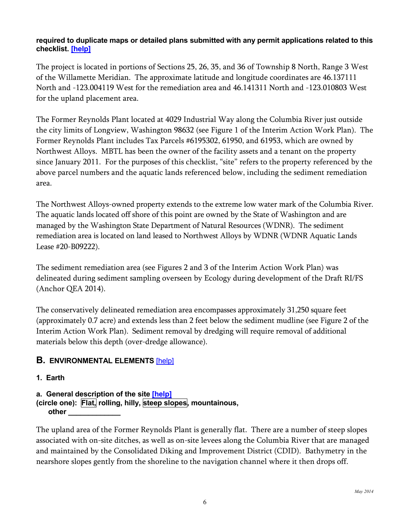### **required to duplicate maps or detailed plans submitted with any permit applications related to this checklist. [\[help\]](http://sepaguidance.epermitting.wa.gov/DesktopModules/help.aspx?project=0&node=564)**

The project is located in portions of Sections 25, 26, 35, and 36 of Township 8 North, Range 3 West of the Willamette Meridian. The approximate latitude and longitude coordinates are 46.137111 North and -123.004119 West for the remediation area and 46.141311 North and -123.010803 West for the upland placement area.

The Former Reynolds Plant located at 4029 Industrial Way along the Columbia River just outside the city limits of Longview, Washington 98632 (see Figure 1 of the Interim Action Work Plan). The Former Reynolds Plant includes Tax Parcels #6195302, 61950, and 61953, which are owned by Northwest Alloys. MBTL has been the owner of the facility assets and a tenant on the property since January 2011. For the purposes of this checklist, "site" refers to the property referenced by the above parcel numbers and the aquatic lands referenced below, including the sediment remediation area.

The Northwest Alloys-owned property extends to the extreme low water mark of the Columbia River. The aquatic lands located off shore of this point are owned by the State of Washington and are managed by the Washington State Department of Natural Resources (WDNR). The sediment remediation area is located on land leased to Northwest Alloys by WDNR (WDNR Aquatic Lands Lease #20-B09222).

The sediment remediation area (see Figures 2 and 3 of the Interim Action Work Plan) was delineated during sediment sampling overseen by Ecology during development of the Draft RI/FS (Anchor QEA 2014).

The conservatively delineated remediation area encompasses approximately 31,250 square feet (approximately 0.7 acre) and extends less than 2 feet below the sediment mudline (see Figure 2 of the Interim Action Work Plan). Sediment removal by dredging will require removal of additional materials below this depth (over-dredge allowance).

# **B. ENVIRONMENTAL ELEMENTS** [\[help\]](http://sepaguidance.epermitting.org/DesktopModules/help.aspx?project=0&node=580)

## **1. Earth**

**a. General description of the site [\[help\]](http://sepaguidance.epermitting.org/DesktopModules/help.aspx?project=0&node=583) (circle one): Flat, rolling, hilly, steep slopes, mountainous, other \_\_\_\_\_\_\_\_\_\_\_\_\_** 

The upland area of the Former Reynolds Plant is generally flat. There are a number of steep slopes associated with on-site ditches, as well as on-site levees along the Columbia River that are managed and maintained by the Consolidated Diking and Improvement District (CDID). Bathymetry in the nearshore slopes gently from the shoreline to the navigation channel where it then drops off.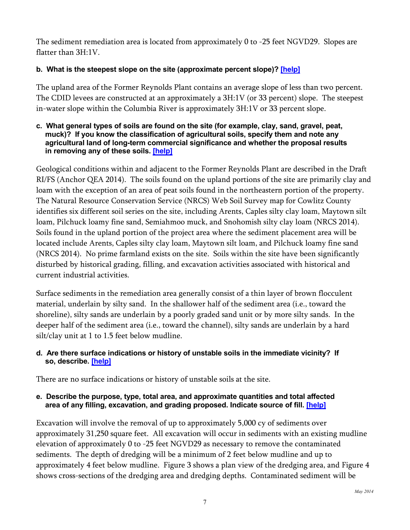The sediment remediation area is located from approximately 0 to -25 feet NGVD29. Slopes are flatter than 3H:1V.

# **b. What is the steepest slope on the site (approximate percent slope)? [\[help\]](http://sepaguidance.epermitting.org/DesktopModules/help.aspx?project=0&node=584)**

The upland area of the Former Reynolds Plant contains an average slope of less than two percent. The CDID levees are constructed at an approximately a 3H:1V (or 33 percent) slope. The steepest in-water slope within the Columbia River is approximately 3H:1V or 33 percent slope.

#### **c. What general types of soils are found on the site (for example, clay, sand, gravel, peat, muck)? If you know the classification of agricultural soils, specify them and note any agricultural land of long-term commercial significance and whether the proposal results in removing any of these soils. [\[help\]](http://sepaguidance.epermitting.org/DesktopModules/help.aspx?project=0&node=585)**

Geological conditions within and adjacent to the Former Reynolds Plant are described in the Draft RI/FS (Anchor QEA 2014). The soils found on the upland portions of the site are primarily clay and loam with the exception of an area of peat soils found in the northeastern portion of the property. The Natural Resource Conservation Service (NRCS) Web Soil Survey map for Cowlitz County identifies six different soil series on the site, including Arents, Caples silty clay loam, Maytown silt loam, Pilchuck loamy fine sand, Semiahmoo muck, and Snohomish silty clay loam (NRCS 2014). Soils found in the upland portion of the project area where the sediment placement area will be located include Arents, Caples silty clay loam, Maytown silt loam, and Pilchuck loamy fine sand (NRCS 2014). No prime farmland exists on the site. Soils within the site have been significantly disturbed by historical grading, filling, and excavation activities associated with historical and current industrial activities.

Surface sediments in the remediation area generally consist of a thin layer of brown flocculent material, underlain by silty sand. In the shallower half of the sediment area (i.e., toward the shoreline), silty sands are underlain by a poorly graded sand unit or by more silty sands. In the deeper half of the sediment area (i.e., toward the channel), silty sands are underlain by a hard silt/clay unit at 1 to 1.5 feet below mudline.

# **d. Are there surface indications or history of unstable soils in the immediate vicinity? If so, describe. [\[help\]](http://sepaguidance.epermitting.org/DesktopModules/help.aspx?project=0&node=587)**

There are no surface indications or history of unstable soils at the site.

### **e. Describe the purpose, type, total area, and approximate quantities and total affected area of any filling, excavation, and grading proposed. Indicate source of fill. [\[help\]](http://sepaguidance.epermitting.org/DesktopModules/help.aspx?project=0&node=588)**

Excavation will involve the removal of up to approximately 5,000 cy of sediments over approximately 31,250 square feet. All excavation will occur in sediments with an existing mudline elevation of approximately 0 to -25 feet NGVD29 as necessary to remove the contaminated sediments. The depth of dredging will be a minimum of 2 feet below mudline and up to approximately 4 feet below mudline. Figure 3 shows a plan view of the dredging area, and Figure 4 shows cross-sections of the dredging area and dredging depths. Contaminated sediment will be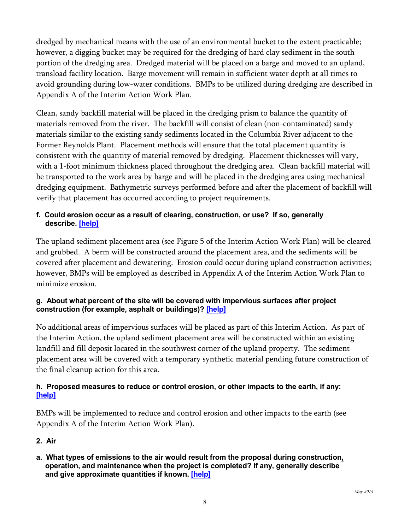dredged by mechanical means with the use of an environmental bucket to the extent practicable; however, a digging bucket may be required for the dredging of hard clay sediment in the south portion of the dredging area. Dredged material will be placed on a barge and moved to an upland, transload facility location. Barge movement will remain in sufficient water depth at all times to avoid grounding during low-water conditions. BMPs to be utilized during dredging are described in Appendix A of the Interim Action Work Plan.

Clean, sandy backfill material will be placed in the dredging prism to balance the quantity of materials removed from the river. The backfill will consist of clean (non-contaminated) sandy materials similar to the existing sandy sediments located in the Columbia River adjacent to the Former Reynolds Plant. Placement methods will ensure that the total placement quantity is consistent with the quantity of material removed by dredging. Placement thicknesses will vary, with a 1-foot minimum thickness placed throughout the dredging area. Clean backfill material will be transported to the work area by barge and will be placed in the dredging area using mechanical dredging equipment. Bathymetric surveys performed before and after the placement of backfill will verify that placement has occurred according to project requirements.

# **f. Could erosion occur as a result of clearing, construction, or use? If so, generally describe. [\[help\]](http://sepaguidance.epermitting.org/DesktopModules/help.aspx?project=0&node=589)**

The upland sediment placement area (see Figure 5 of the Interim Action Work Plan) will be cleared and grubbed. A berm will be constructed around the placement area, and the sediments will be covered after placement and dewatering. Erosion could occur during upland construction activities; however, BMPs will be employed as described in Appendix A of the Interim Action Work Plan to minimize erosion.

## **g. About what percent of the site will be covered with impervious surfaces after project construction (for example, asphalt or buildings)? [\[help\]](http://sepaguidance.epermitting.org/DesktopModules/help.aspx?project=0&node=590)**

No additional areas of impervious surfaces will be placed as part of this Interim Action. As part of the Interim Action, the upland sediment placement area will be constructed within an existing landfill and fill deposit located in the southwest corner of the upland property. The sediment placement area will be covered with a temporary synthetic material pending future construction of the final cleanup action for this area.

# **h. Proposed measures to reduce or control erosion, or other impacts to the earth, if any: [\[help\]](http://sepaguidance.epermitting.org/DesktopModules/help.aspx?project=0&node=591)**

BMPs will be implemented to reduce and control erosion and other impacts to the earth (see Appendix A of the Interim Action Work Plan).

# **2. Air**

**a. What types of emissions to the air would result from the proposal during construction, operation, and maintenance when the project is completed? If any, generally describe and give approximate quantities if known. [\[help\]](http://sepaguidance.epermitting.org/DesktopModules/help.aspx?project=0&node=593)**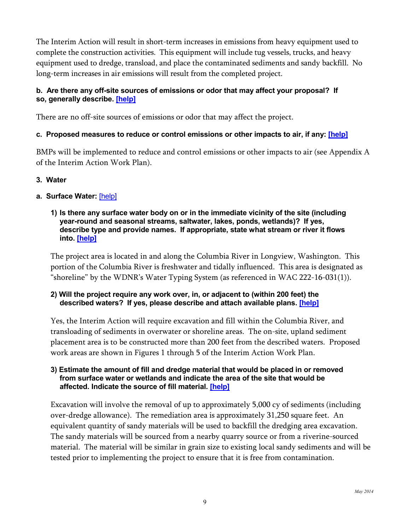The Interim Action will result in short-term increases in emissions from heavy equipment used to complete the construction activities. This equipment will include tug vessels, trucks, and heavy equipment used to dredge, transload, and place the contaminated sediments and sandy backfill. No long-term increases in air emissions will result from the completed project.

## **b. Are there any off-site sources of emissions or odor that may affect your proposal? If so, generally describe. [\[help\]](http://sepaguidance.epermitting.wa.gov/DesktopModules/help.aspx?project=0&node=594)**

There are no off-site sources of emissions or odor that may affect the project.

### **c. Proposed measures to reduce or control emissions or other impacts to air, if any: [\[help\]](http://sepaguidance.epermitting.org/DesktopModules/help.aspx?project=0&node=595)**

BMPs will be implemented to reduce and control emissions or other impacts to air (see Appendix A of the Interim Action Work Plan).

### **3. Water**

### **a. Surface Water:** [\[help\]](http://sepaguidance.epermitting.wa.gov/DesktopModules/help.aspx?project=0&node=597)

#### **1) Is there any surface water body on or in the immediate vicinity of the site (including year-round and seasonal streams, saltwater, lakes, ponds, wetlands)? If yes, describe type and provide names. If appropriate, state what stream or river it flows into. [\[help\]](http://sepaguidance.epermitting.org/DesktopModules/help.aspx?project=0&node=598)**

The project area is located in and along the Columbia River in Longview, Washington. This portion of the Columbia River is freshwater and tidally influenced. This area is designated as "shoreline" by the WDNR's Water Typing System (as referenced in WAC 222-16-031(1)).

### **2) Will the project require any work over, in, or adjacent to (within 200 feet) the described waters? If yes, please describe and attach available plans. [\[help\]](http://sepaguidance.epermitting.org/DesktopModules/help.aspx?project=0&node=599)**

Yes, the Interim Action will require excavation and fill within the Columbia River, and transloading of sediments in overwater or shoreline areas. The on-site, upland sediment placement area is to be constructed more than 200 feet from the described waters. Proposed work areas are shown in Figures 1 through 5 of the Interim Action Work Plan.

#### **3) Estimate the amount of fill and dredge material that would be placed in or removed from surface water or wetlands and indicate the area of the site that would be affected. Indicate the source of fill material. [\[help\]](http://sepaguidance.epermitting.org/DesktopModules/help.aspx?project=0&node=600)**

Excavation will involve the removal of up to approximately 5,000 cy of sediments (including over-dredge allowance). The remediation area is approximately 31,250 square feet. An equivalent quantity of sandy materials will be used to backfill the dredging area excavation. The sandy materials will be sourced from a nearby quarry source or from a riverine-sourced material. The material will be similar in grain size to existing local sandy sediments and will be tested prior to implementing the project to ensure that it is free from contamination.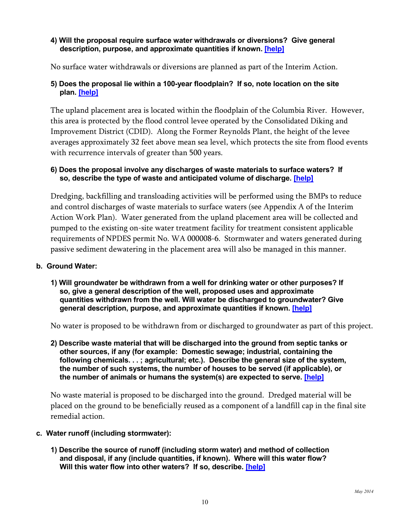#### **4) Will the proposal require surface water withdrawals or diversions? Give general description, purpose, and approximate quantities if known. [\[help\]](http://sepaguidance.epermitting.org/DesktopModules/help.aspx?project=0&node=601)**

No surface water withdrawals or diversions are planned as part of the Interim Action.

## **5) Does the proposal lie within a 100-year floodplain? If so, note location on the site plan. [\[help\]](http://sepaguidance.epermitting.wa.gov/DesktopModules/help.aspx?project=0&node=602)**

The upland placement area is located within the floodplain of the Columbia River. However, this area is protected by the flood control levee operated by the Consolidated Diking and Improvement District (CDID). Along the Former Reynolds Plant, the height of the levee averages approximately 32 feet above mean sea level, which protects the site from flood events with recurrence intervals of greater than 500 years.

### **6) Does the proposal involve any discharges of waste materials to surface waters? If so, describe the type of waste and anticipated volume of discharge. [\[help\]](http://sepaguidance.epermitting.org/DesktopModules/help.aspx?project=0&node=603)**

Dredging, backfilling and transloading activities will be performed using the BMPs to reduce and control discharges of waste materials to surface waters (see Appendix A of the Interim Action Work Plan). Water generated from the upland placement area will be collected and pumped to the existing on-site water treatment facility for treatment consistent applicable requirements of NPDES permit No. WA 000008-6. Stormwater and waters generated during passive sediment dewatering in the placement area will also be managed in this manner.

### **b. Ground Water:**

**1) Will groundwater be withdrawn from a well for drinking water or other purposes? If so, give a general description of the well, proposed uses and approximate quantities withdrawn from the well. Will water be discharged to groundwater? Give general description, purpose, and approximate quantities if known. [\[help\]](http://sepaguidance.epermitting.org/DesktopModules/help.aspx?project=0&node=609)**

No water is proposed to be withdrawn from or discharged to groundwater as part of this project.

**2) Describe waste material that will be discharged into the ground from septic tanks or other sources, if any (for example: Domestic sewage; industrial, containing the following chemicals. . . ; agricultural; etc.). Describe the general size of the system, the number of such systems, the number of houses to be served (if applicable), or the number of animals or humans the system(s) are expected to serve. [\[help\]](http://sepaguidance.epermitting.org/DesktopModules/help.aspx?project=0&node=610)**

No waste material is proposed to be discharged into the ground. Dredged material will be placed on the ground to be beneficially reused as a component of a landfill cap in the final site remedial action.

#### **c. Water runoff (including stormwater):**

**1) Describe the source of runoff (including storm water) and method of collection and disposal, if any (include quantities, if known). Where will this water flow? Will this water flow into other waters? If so, describe. [\[help\]](http://sepaguidance.epermitting.org/DesktopModules/help.aspx?project=0&node=613)**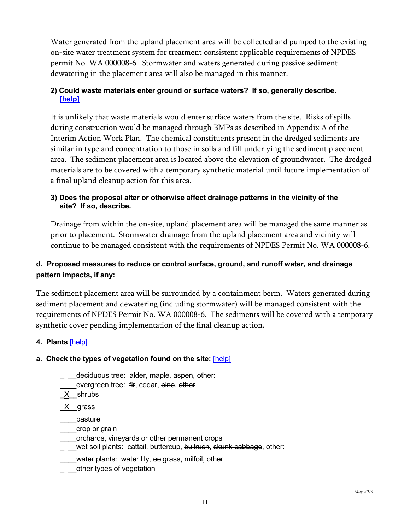Water generated from the upland placement area will be collected and pumped to the existing on-site water treatment system for treatment consistent applicable requirements of NPDES permit No. WA 000008-6. Stormwater and waters generated during passive sediment dewatering in the placement area will also be managed in this manner.

## **2) Could waste materials enter ground or surface waters? If so, generally describe. [\[help\]](http://sepaguidance.epermitting.org/DesktopModules/help.aspx?project=0&node=614)**

It is unlikely that waste materials would enter surface waters from the site. Risks of spills during construction would be managed through BMPs as described in Appendix A of the Interim Action Work Plan. The chemical constituents present in the dredged sediments are similar in type and concentration to those in soils and fill underlying the sediment placement area. The sediment placement area is located above the elevation of groundwater. The dredged materials are to be covered with a temporary synthetic material until future implementation of a final upland cleanup action for this area.

## **3) Does the proposal alter or otherwise affect drainage patterns in the vicinity of the site? If so, describe.**

Drainage from within the on-site, upland placement area will be managed the same manner as prior to placement. Stormwater drainage from the upland placement area and vicinity will continue to be managed consistent with the requirements of NPDES Permit No. WA 000008-6.

# **d. Proposed measures to reduce or control surface, ground, and runoff water, and drainage pattern impacts, if any:**

The sediment placement area will be surrounded by a containment berm. Waters generated during sediment placement and dewatering (including stormwater) will be managed consistent with the requirements of NPDES Permit No. WA 000008-6. The sediments will be covered with a temporary synthetic cover pending implementation of the final cleanup action.

## **4. Plants** [\[help\]](http://sepaguidance.epermitting.org/DesktopModules/help.aspx?project=0&node=617)

## **a. Check the types of vegetation found on the site:** [\[help\]](http://sepaguidance.epermitting.org/DesktopModules/help.aspx?project=0&node=618)

- deciduous tree: alder, maple, aspen, other:
- evergreen tree: fir, cedar, pine, other
- \_X\_\_shrubs

\_X\_\_grass

\_\_\_\_pasture

- \_\_\_\_crop or grain
- \_\_\_\_orchards, vineyards or other permanent crops
- wet soil plants: cattail, buttercup, <del>bullrush</del>, skunk cabbage, other:
- \_\_\_\_water plants: water lily, eelgrass, milfoil, other
- \_ \_\_other types of vegetation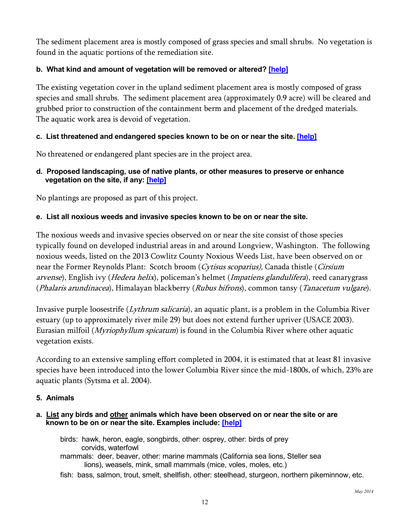The sediment placement area is mostly composed of grass species and small shrubs. No vegetation is found in the aquatic portions of the remediation site.

## **b. What kind and amount of vegetation will be removed or altered? [\[help\]](http://sepaguidance.epermitting.org/DesktopModules/help.aspx?project=0&node=619)**

The existing vegetation cover in the upland sediment placement area is mostly composed of grass species and small shrubs. The sediment placement area (approximately 0.9 acre) will be cleared and grubbed prior to construction of the containment berm and placement of the dredged materials. The aquatic work area is devoid of vegetation.

## **c. List threatened and endangered species known to be on or near the site. [\[help\]](http://sepaguidance.epermitting.wa.gov/DesktopModules/help.aspx?project=0&node=620)**

No threatened or endangered plant species are in the project area.

### **d. Proposed landscaping, use of native plants, or other measures to preserve or enhance vegetation on the site, if any: [\[help\]](http://sepaguidance.epermitting.org/DesktopModules/help.aspx?project=0&node=621)**

No plantings are proposed as part of this project.

## **e. List all noxious weeds and invasive species known to be on or near the site.**

The noxious weeds and invasive species observed on or near the site consist of those species typically found on developed industrial areas in and around Longview, Washington. The following noxious weeds, listed on the 2013 Cowlitz County Noxious Weeds List, have been observed on or near the Former Reynolds Plant: Scotch broom (Cytisus scoparius), Canada thistle (Cirsium arvense), English ivy (Hedera helix), policeman's helmet (Impatiens glandulifera), reed canarygrass (Phalaris arundinacea), Himalayan blackberry (Rubus bifrons), common tansy (Tanacetum vulgare).

Invasive purple loosestrife (Lythrum salicaria), an aquatic plant, is a problem in the Columbia River estuary (up to approximately river mile 29) but does not extend further upriver (USACE 2003). Eurasian milfoil (Myriophyllum spicatum) is found in the Columbia River where other aquatic vegetation exists.

According to an extensive sampling effort completed in 2004, it is estimated that at least 81 invasive species have been introduced into the lower Columbia River since the mid-1800s, of which, 23% are aquatic plants (Sytsma et al. 2004).

#### **5. Animals**

#### **a. List any birds and other animals which have been observed on or near the site or are known to be on or near the site. Examples include: [\[help\]](http://sepaguidance.epermitting.org/DesktopModules/help.aspx?project=0&node=623)**

birds: hawk, heron, eagle, songbirds, other: osprey, other: birds of prey corvids, waterfowl

- mammals: deer, beaver, other: marine mammals (California sea lions, Steller sea lions), weasels, mink, small mammals (mice, voles, moles, etc.)
- fish: bass, salmon, trout, smelt, shellfish, other: steelhead, sturgeon, northern pikeminnow, etc.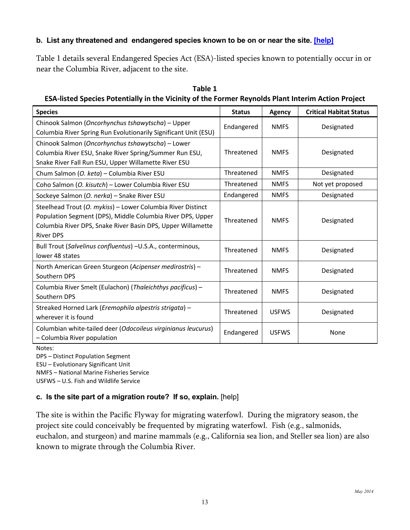## **b. List any threatened and endangered species known to be on or near the site. [\[help\]](http://sepaguidance.epermitting.wa.gov/DesktopModules/help.aspx?project=0&node=624)**

Table 1 details several Endangered Species Act (ESA)-listed species known to potentially occur in or near the Columbia River, adjacent to the site.

| <b>Species</b>                                                                                                                                                                                               | <b>Status</b> | <b>Agency</b> | <b>Critical Habitat Status</b> |
|--------------------------------------------------------------------------------------------------------------------------------------------------------------------------------------------------------------|---------------|---------------|--------------------------------|
| Chinook Salmon (Oncorhynchus tshawytscha) - Upper<br>Columbia River Spring Run Evolutionarily Significant Unit (ESU)                                                                                         | Endangered    | <b>NMFS</b>   | Designated                     |
| Chinook Salmon (Oncorhynchus tshawytscha) - Lower<br>Columbia River ESU, Snake River Spring/Summer Run ESU,<br>Snake River Fall Run ESU, Upper Willamette River ESU                                          | Threatened    | <b>NMFS</b>   | Designated                     |
| Chum Salmon (O. keta) - Columbia River ESU                                                                                                                                                                   | Threatened    | <b>NMFS</b>   | Designated                     |
| Coho Salmon (O. kisutch) - Lower Columbia River ESU                                                                                                                                                          | Threatened    | <b>NMFS</b>   | Not yet proposed               |
| Sockeye Salmon (O. nerka) - Snake River ESU                                                                                                                                                                  | Endangered    | <b>NMFS</b>   | Designated                     |
| Steelhead Trout (O. mykiss) - Lower Columbia River Distinct<br>Population Segment (DPS), Middle Columbia River DPS, Upper<br>Columbia River DPS, Snake River Basin DPS, Upper Willamette<br><b>River DPS</b> | Threatened    | <b>NMFS</b>   | Designated                     |
| Bull Trout (Salvelinus confluentus) -U.S.A., conterminous,<br>lower 48 states                                                                                                                                | Threatened    | <b>NMFS</b>   | Designated                     |
| North American Green Sturgeon (Acipenser medirostris) -<br>Southern DPS                                                                                                                                      | Threatened    | <b>NMFS</b>   | Designated                     |
| Columbia River Smelt (Eulachon) (Thaleichthys pacificus) -<br>Southern DPS                                                                                                                                   | Threatened    | <b>NMFS</b>   | Designated                     |
| Streaked Horned Lark (Eremophila alpestris strigata) -<br>wherever it is found                                                                                                                               | Threatened    | <b>USFWS</b>  | Designated                     |
| Columbian white-tailed deer (Odocoileus virginianus leucurus)<br>- Columbia River population                                                                                                                 | Endangered    | <b>USFWS</b>  | None                           |

| Table 1                                                                                            |
|----------------------------------------------------------------------------------------------------|
| ESA-listed Species Potentially in the Vicinity of the Former Reynolds Plant Interim Action Project |

Notes:

DPS – Distinct Population Segment

ESU – Evolutionary Significant Unit

NMFS – National Marine Fisheries Service

USFWS – U.S. Fish and Wildlife Service

## **c. Is the site part of a migration route? If so, explain.** [\[help\]](http://sepaguidance.epermitting.org/DesktopModules/help.aspx?project=0&node=625)

The site is within the Pacific Flyway for migrating waterfowl. During the migratory season, the project site could conceivably be frequented by migrating waterfowl. Fish (e.g., salmonids, euchalon, and sturgeon) and marine mammals (e.g., California sea lion, and Steller sea lion) are also known to migrate through the Columbia River.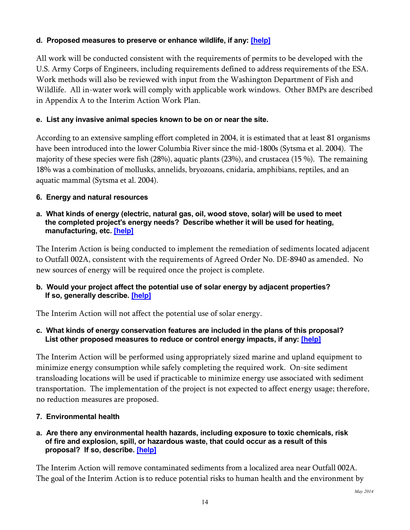# **d. Proposed measures to preserve or enhance wildlife, if any: [\[help\]](http://sepaguidance.epermitting.org/DesktopModules/help.aspx?project=0&node=626)**

All work will be conducted consistent with the requirements of permits to be developed with the U.S. Army Corps of Engineers, including requirements defined to address requirements of the ESA. Work methods will also be reviewed with input from the Washington Department of Fish and Wildlife. All in-water work will comply with applicable work windows. Other BMPs are described in Appendix A to the Interim Action Work Plan.

## **e. List any invasive animal species known to be on or near the site.**

According to an extensive sampling effort completed in 2004, it is estimated that at least 81 organisms have been introduced into the lower Columbia River since the mid-1800s (Sytsma et al. 2004). The majority of these species were fish (28%), aquatic plants (23%), and crustacea (15 %). The remaining 18% was a combination of mollusks, annelids, bryozoans, cnidaria, amphibians, reptiles, and an aquatic mammal (Sytsma et al. 2004).

# **6. Energy and natural resources**

### **a. What kinds of energy (electric, natural gas, oil, wood stove, solar) will be used to meet the completed project's energy needs? Describe whether it will be used for heating, manufacturing, etc. [\[help\]](http://sepaguidance.epermitting.org/DesktopModules/help.aspx?project=0&node=628)**

The Interim Action is being conducted to implement the remediation of sediments located adjacent to Outfall 002A, consistent with the requirements of Agreed Order No. DE-8940 as amended. No new sources of energy will be required once the project is complete.

## **b. Would your project affect the potential use of solar energy by adjacent properties? If so, generally describe. [\[help\]](http://sepaguidance.epermitting.org/DesktopModules/help.aspx?project=0&node=629)**

The Interim Action will not affect the potential use of solar energy.

## **c. What kinds of energy conservation features are included in the plans of this proposal? List other proposed measures to reduce or control energy impacts, if any: [\[help\]](http://sepaguidance.epermitting.org/DesktopModules/help.aspx?project=0&node=630)**

The Interim Action will be performed using appropriately sized marine and upland equipment to minimize energy consumption while safely completing the required work. On-site sediment transloading locations will be used if practicable to minimize energy use associated with sediment transportation. The implementation of the project is not expected to affect energy usage; therefore, no reduction measures are proposed.

## **7. Environmental health**

### **a. Are there any environmental health hazards, including exposure to toxic chemicals, risk of fire and explosion, spill, or hazardous waste, that could occur as a result of this proposal? If so, describe. [\[help\]](http://sepaguidance.epermitting.org/DesktopModules/help.aspx?project=0&node=632)**

The Interim Action will remove contaminated sediments from a localized area near Outfall 002A. The goal of the Interim Action is to reduce potential risks to human health and the environment by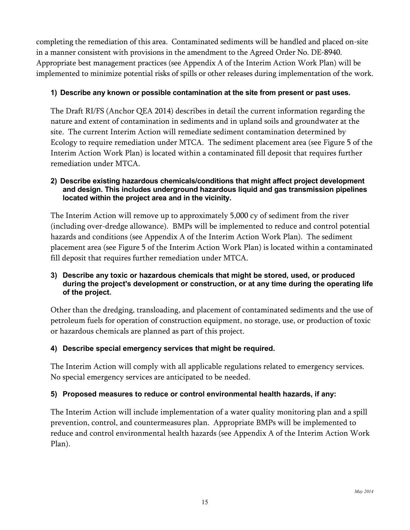completing the remediation of this area. Contaminated sediments will be handled and placed on-site in a manner consistent with provisions in the amendment to the Agreed Order No. DE-8940. Appropriate best management practices (see Appendix A of the Interim Action Work Plan) will be implemented to minimize potential risks of spills or other releases during implementation of the work.

# **1) Describe any known or possible contamination at the site from present or past uses.**

The Draft RI/FS (Anchor QEA 2014) describes in detail the current information regarding the nature and extent of contamination in sediments and in upland soils and groundwater at the site. The current Interim Action will remediate sediment contamination determined by Ecology to require remediation under MTCA. The sediment placement area (see Figure 5 of the Interim Action Work Plan) is located within a contaminated fill deposit that requires further remediation under MTCA.

#### **2) Describe existing hazardous chemicals/conditions that might affect project development and design. This includes underground hazardous liquid and gas transmission pipelines located within the project area and in the vicinity.**

The Interim Action will remove up to approximately 5,000 cy of sediment from the river (including over-dredge allowance). BMPs will be implemented to reduce and control potential hazards and conditions (see Appendix A of the Interim Action Work Plan). The sediment placement area (see Figure 5 of the Interim Action Work Plan) is located within a contaminated fill deposit that requires further remediation under MTCA.

### **3) Describe any toxic or hazardous chemicals that might be stored, used, or produced during the project's development or construction, or at any time during the operating life of the project.**

Other than the dredging, transloading, and placement of contaminated sediments and the use of petroleum fuels for operation of construction equipment, no storage, use, or production of toxic or hazardous chemicals are planned as part of this project.

# **4) Describe special emergency services that might be required.**

The Interim Action will comply with all applicable regulations related to emergency services. No special emergency services are anticipated to be needed.

# **5) Proposed measures to reduce or control environmental health hazards, if any:**

The Interim Action will include implementation of a water quality monitoring plan and a spill prevention, control, and countermeasures plan. Appropriate BMPs will be implemented to reduce and control environmental health hazards (see Appendix A of the Interim Action Work Plan).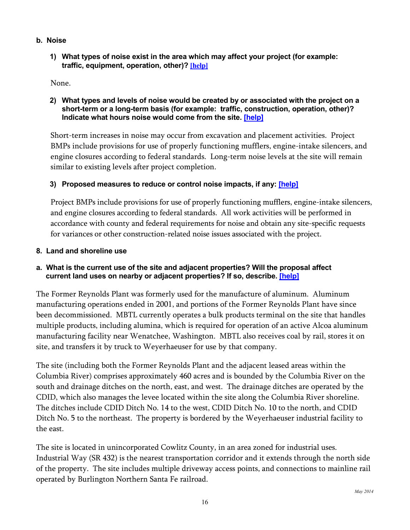- **b. Noise**
	- **1) What types of noise exist in the area which may affect your project (for example: traffic, equipment, operation, other)? [\[help\]](http://sepaguidance.epermitting.org/DesktopModules/help.aspx?project=0&node=635)**

None.

**2) What types and levels of noise would be created by or associated with the project on a short-term or a long-term basis (for example: traffic, construction, operation, other)? Indicate what hours noise would come from the site. [\[help\]](http://sepaguidance.epermitting.org/DesktopModules/help.aspx?project=0&node=636)**

Short-term increases in noise may occur from excavation and placement activities. Project BMPs include provisions for use of properly functioning mufflers, engine-intake silencers, and engine closures according to federal standards. Long-term noise levels at the site will remain similar to existing levels after project completion.

# **3) Proposed measures to reduce or control noise impacts, if any: [\[help\]](http://sepaguidance.epermitting.org/DesktopModules/help.aspx?project=0&node=637)**

Project BMPs include provisions for use of properly functioning mufflers, engine-intake silencers, and engine closures according to federal standards. All work activities will be performed in accordance with county and federal requirements for noise and obtain any site-specific requests for variances or other construction-related noise issues associated with the project.

### **8. Land and shoreline use**

## **a. What is the current use of the site and adjacent properties? Will the proposal affect current land uses on nearby or adjacent properties? If so, describe. [\[help\]](http://sepaguidance.epermitting.org/DesktopModules/help.aspx?project=0&node=639)**

The Former Reynolds Plant was formerly used for the manufacture of aluminum. Aluminum manufacturing operations ended in 2001, and portions of the Former Reynolds Plant have since been decommissioned. MBTL currently operates a bulk products terminal on the site that handles multiple products, including alumina, which is required for operation of an active Alcoa aluminum manufacturing facility near Wenatchee, Washington. MBTL also receives coal by rail, stores it on site, and transfers it by truck to Weyerhaeuser for use by that company.

The site (including both the Former Reynolds Plant and the adjacent leased areas within the Columbia River) comprises approximately 460 acres and is bounded by the Columbia River on the south and drainage ditches on the north, east, and west. The drainage ditches are operated by the CDID, which also manages the levee located within the site along the Columbia River shoreline. The ditches include CDID Ditch No. 14 to the west, CDID Ditch No. 10 to the north, and CDID Ditch No. 5 to the northeast. The property is bordered by the Weyerhaeuser industrial facility to the east.

The site is located in unincorporated Cowlitz County, in an area zoned for industrial uses. Industrial Way (SR 432) is the nearest transportation corridor and it extends through the north side of the property. The site includes multiple driveway access points, and connections to mainline rail operated by Burlington Northern Santa Fe railroad.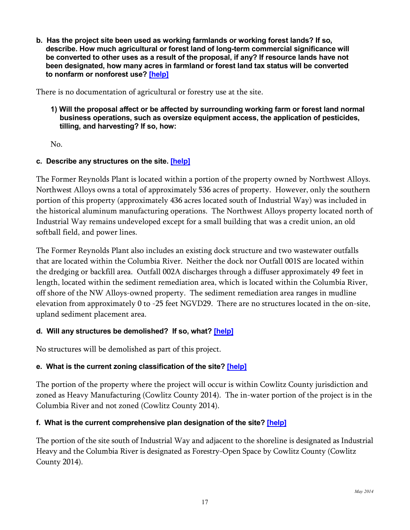**b. Has the project site been used as working farmlands or working forest lands? If so, describe. How much agricultural or forest land of long-term commercial significance will be converted to other uses as a result of the proposal, if any? If resource lands have not been designated, how many acres in farmland or forest land tax status will be converted to nonfarm or nonforest use? [\[help\]](http://sepaguidance.epermitting.org/DesktopModules/help.aspx?project=0&node=640)**

There is no documentation of agricultural or forestry use at the site.

**1) Will the proposal affect or be affected by surrounding working farm or forest land normal business operations, such as oversize equipment access, the application of pesticides, tilling, and harvesting? If so, how:**

No.

### **c. Describe any structures on the site. [\[help\]](http://sepaguidance.epermitting.org/DesktopModules/help.aspx?project=0&node=641)**

The Former Reynolds Plant is located within a portion of the property owned by Northwest Alloys. Northwest Alloys owns a total of approximately 536 acres of property. However, only the southern portion of this property (approximately 436 acres located south of Industrial Way) was included in the historical aluminum manufacturing operations. The Northwest Alloys property located north of Industrial Way remains undeveloped except for a small building that was a credit union, an old softball field, and power lines.

The Former Reynolds Plant also includes an existing dock structure and two wastewater outfalls that are located within the Columbia River. Neither the dock nor Outfall 001S are located within the dredging or backfill area. Outfall 002A discharges through a diffuser approximately 49 feet in length, located within the sediment remediation area, which is located within the Columbia River, off shore of the NW Alloys-owned property. The sediment remediation area ranges in mudline elevation from approximately 0 to -25 feet NGVD29. There are no structures located in the on-site, upland sediment placement area.

## **d. Will any structures be demolished? If so, what? [\[help\]](http://sepaguidance.epermitting.org/DesktopModules/help.aspx?project=0&node=642)**

No structures will be demolished as part of this project.

## **e. What is the current zoning classification of the site? [\[help\]](http://sepaguidance.epermitting.org/DesktopModules/help.aspx?project=0&node=643)**

The portion of the property where the project will occur is within Cowlitz County jurisdiction and zoned as Heavy Manufacturing (Cowlitz County 2014). The in-water portion of the project is in the Columbia River and not zoned (Cowlitz County 2014).

#### **f. What is the current comprehensive plan designation of the site? [\[help\]](http://sepaguidance.epermitting.org/DesktopModules/help.aspx?project=0&node=644)**

The portion of the site south of Industrial Way and adjacent to the shoreline is designated as Industrial Heavy and the Columbia River is designated as Forestry-Open Space by Cowlitz County (Cowlitz County 2014).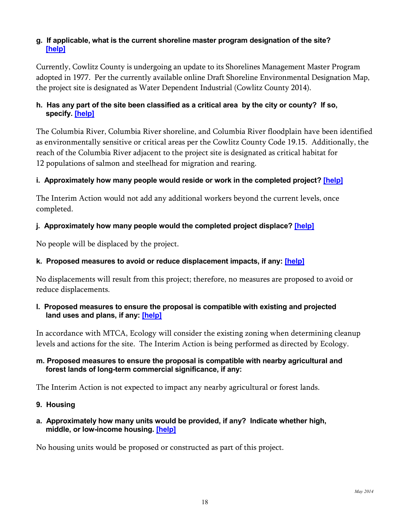## **g. If applicable, what is the current shoreline master program designation of the site? [\[help\]](http://sepaguidance.epermitting.org/DesktopModules/help.aspx?project=0&node=645)**

Currently, Cowlitz County is undergoing an update to its Shorelines Management Master Program adopted in 1977. Per the currently available online Draft Shoreline Environmental Designation Map, the project site is designated as Water Dependent Industrial (Cowlitz County 2014).

# **h. Has any part of the site been classified as a critical area by the city or county? If so, specify. [\[help\]](http://sepaguidance.epermitting.org/DesktopModules/help.aspx?project=0&node=646)**

The Columbia River, Columbia River shoreline, and Columbia River floodplain have been identified as environmentally sensitive or critical areas per the Cowlitz County Code 19.15. Additionally, the reach of the Columbia River adjacent to the project site is designated as critical habitat for 12 populations of salmon and steelhead for migration and rearing.

# **i. Approximately how many people would reside or work in the completed project? [\[help\]](http://sepaguidance.epermitting.org/DesktopModules/help.aspx?project=0&node=647)**

The Interim Action would not add any additional workers beyond the current levels, once completed.

# **j. Approximately how many people would the completed project displace? [\[help\]](http://sepaguidance.epermitting.org/DesktopModules/help.aspx?project=0&node=648)**

No people will be displaced by the project.

# **k. Proposed measures to avoid or reduce displacement impacts, if any: [\[help\]](http://sepaguidance.epermitting.org/DesktopModules/help.aspx?project=0&node=649)**

No displacements will result from this project; therefore, no measures are proposed to avoid or reduce displacements.

### **l. Proposed measures to ensure the proposal is compatible with existing and projected land uses and plans, if any: [\[help\]](http://sepaguidance.epermitting.org/DesktopModules/help.aspx?project=0&node=650)**

In accordance with MTCA, Ecology will consider the existing zoning when determining cleanup levels and actions for the site. The Interim Action is being performed as directed by Ecology.

## **m. Proposed measures to ensure the proposal is compatible with nearby agricultural and forest lands of long-term commercial significance, if any:**

The Interim Action is not expected to impact any nearby agricultural or forest lands.

## **9. Housing**

### **a. Approximately how many units would be provided, if any? Indicate whether high, middle, or low-income housing. [\[help\]](http://sepaguidance.epermitting.org/DesktopModules/help.aspx?project=0&node=652)**

No housing units would be proposed or constructed as part of this project.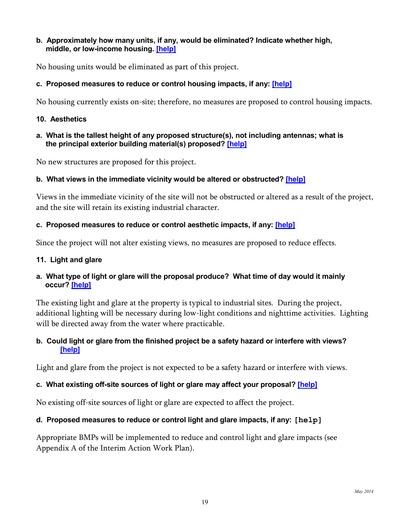#### **b. Approximately how many units, if any, would be eliminated? Indicate whether high, middle, or low-income housing. [\[help\]](http://sepaguidance.epermitting.org/DesktopModules/help.aspx?project=0&node=653)**

No housing units would be eliminated as part of this project.

### **c. Proposed measures to reduce or control housing impacts, if any: [\[help\]](http://sepaguidance.epermitting.org/DesktopModules/help.aspx?project=0&node=654)**

No housing currently exists on-site; therefore, no measures are proposed to control housing impacts.

#### **10. Aesthetics**

#### **a. What is the tallest height of any proposed structure(s), not including antennas; what is the principal exterior building material(s) proposed? [\[help\]](http://sepaguidance.epermitting.org/DesktopModules/help.aspx?project=0&node=656)**

No new structures are proposed for this project.

### **b. What views in the immediate vicinity would be altered or obstructed? [\[help\]](http://sepaguidance.epermitting.org/DesktopModules/help.aspx?project=0&node=657)**

Views in the immediate vicinity of the site will not be obstructed or altered as a result of the project, and the site will retain its existing industrial character.

#### **c. Proposed measures to reduce or control aesthetic impacts, if any: [\[help\]](http://sepaguidance.epermitting.org/DesktopModules/help.aspx?project=0&node=658)**

Since the project will not alter existing views, no measures are proposed to reduce effects.

#### **11. Light and glare**

### **a. What type of light or glare will the proposal produce? What time of day would it mainly occur? [\[help\]](http://sepaguidance.epermitting.org/DesktopModules/help.aspx?project=0&node=660)**

The existing light and glare at the property is typical to industrial sites. During the project, additional lighting will be necessary during low-light conditions and nighttime activities. Lighting will be directed away from the water where practicable.

### **b. Could light or glare from the finished project be a safety hazard or interfere with views? [\[help\]](http://sepaguidance.epermitting.org/DesktopModules/help.aspx?project=0&node=661)**

Light and glare from the project is not expected to be a safety hazard or interfere with views.

## **c. What existing off-site sources of light or glare may affect your proposal? [\[help\]](http://sepaguidance.epermitting.org/DesktopModules/help.aspx?project=0&node=662)**

No existing off-site sources of light or glare are expected to affect the project.

#### **d. Proposed measures to reduce or control light and glare impacts, if any: [help]**

Appropriate BMPs will be implemented to reduce and control light and glare impacts (see Appendix A of the Interim Action Work Plan).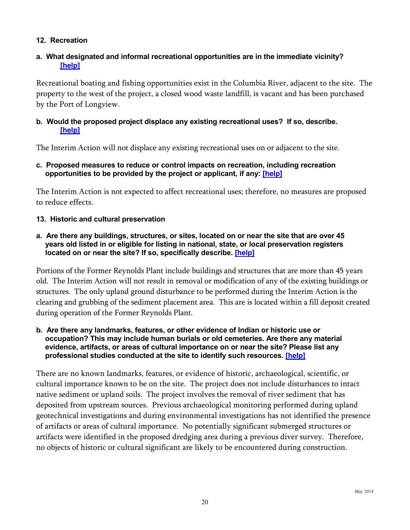## **12. Recreation**

### **a. What designated and informal recreational opportunities are in the immediate vicinity? [\[help\]](http://sepaguidance.epermitting.org/DesktopModules/help.aspx?project=0&node=665)**

Recreational boating and fishing opportunities exist in the Columbia River, adjacent to the site. The property to the west of the project, a closed wood waste landfill, is vacant and has been purchased by the Port of Longview.

### **b. Would the proposed project displace any existing recreational uses? If so, describe. [\[help\]](http://sepaguidance.epermitting.org/DesktopModules/help.aspx?project=0&node=666)**

The Interim Action will not displace any existing recreational uses on or adjacent to the site.

**c. Proposed measures to reduce or control impacts on recreation, including recreation opportunities to be provided by the project or applicant, if any: [\[help\]](http://sepaguidance.epermitting.org/DesktopModules/help.aspx?project=0&node=667)**

The Interim Action is not expected to affect recreational uses; therefore, no measures are proposed to reduce effects.

### **13. Historic and cultural preservation**

**a. Are there any buildings, structures, or sites, located on or near the site that are over 45 years old listed in or eligible for listing in national, state, or local preservation registers located on or near the site? If so, specifically describe. [\[help\]](http://sepaguidance.epermitting.org/DesktopModules/help.aspx?project=0&node=669)**

Portions of the Former Reynolds Plant include buildings and structures that are more than 45 years old. The Interim Action will not result in removal or modification of any of the existing buildings or structures. The only upland ground disturbance to be performed during the Interim Action is the clearing and grubbing of the sediment placement area. This are is located within a fill deposit created during operation of the Former Reynolds Plant.

**b. Are there any landmarks, features, or other evidence of Indian or historic use or occupation? This may include human burials or old cemeteries. Are there any material evidence, artifacts, or areas of cultural importance on or near the site? Please list any professional studies conducted at the site to identify such resources. [\[help\]](http://sepaguidance.epermitting.org/DesktopModules/help.aspx?project=0&node=670)**

There are no known landmarks, features, or evidence of historic, archaeological, scientific, or cultural importance known to be on the site. The project does not include disturbances to intact native sediment or upland soils. The project involves the removal of river sediment that has deposited from upstream sources. Previous archaeological monitoring performed during upland geotechnical investigations and during environmental investigations has not identified the presence of artifacts or areas of cultural importance. No potentially significant submerged structures or artifacts were identified in the proposed dredging area during a previous diver survey. Therefore, no objects of historic or cultural significant are likely to be encountered during construction.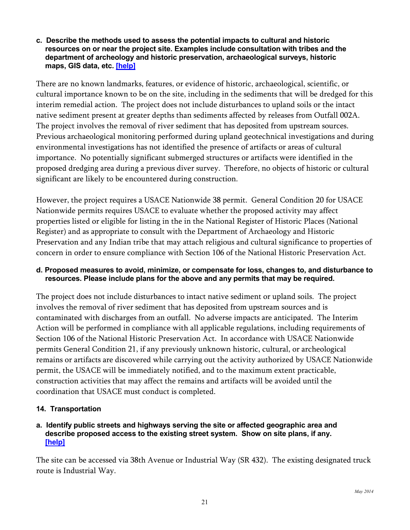#### **c. Describe the methods used to assess the potential impacts to cultural and historic resources on or near the project site. Examples include consultation with tribes and the department of archeology and historic preservation, archaeological surveys, historic maps, GIS data, etc. [\[help\]](http://sepaguidance.epermitting.org/DesktopModules/help.aspx?project=0&node=671)**

There are no known landmarks, features, or evidence of historic, archaeological, scientific, or cultural importance known to be on the site, including in the sediments that will be dredged for this interim remedial action. The project does not include disturbances to upland soils or the intact native sediment present at greater depths than sediments affected by releases from Outfall 002A. The project involves the removal of river sediment that has deposited from upstream sources. Previous archaeological monitoring performed during upland geotechnical investigations and during environmental investigations has not identified the presence of artifacts or areas of cultural importance. No potentially significant submerged structures or artifacts were identified in the proposed dredging area during a previous diver survey. Therefore, no objects of historic or cultural significant are likely to be encountered during construction.

However, the project requires a USACE Nationwide 38 permit. General Condition 20 for USACE Nationwide permits requires USACE to evaluate whether the proposed activity may affect properties listed or eligible for listing in the in the National Register of Historic Places (National Register) and as appropriate to consult with the Department of Archaeology and Historic Preservation and any Indian tribe that may attach religious and cultural significance to properties of concern in order to ensure compliance with Section 106 of the National Historic Preservation Act.

## **d. Proposed measures to avoid, minimize, or compensate for loss, changes to, and disturbance to resources. Please include plans for the above and any permits that may be required.**

The project does not include disturbances to intact native sediment or upland soils. The project involves the removal of river sediment that has deposited from upstream sources and is contaminated with discharges from an outfall. No adverse impacts are anticipated. The Interim Action will be performed in compliance with all applicable regulations, including requirements of Section 106 of the National Historic Preservation Act. In accordance with USACE Nationwide permits General Condition 21, if any previously unknown historic, cultural, or archeological remains or artifacts are discovered while carrying out the activity authorized by USACE Nationwide permit, the USACE will be immediately notified, and to the maximum extent practicable, construction activities that may affect the remains and artifacts will be avoided until the coordination that USACE must conduct is completed.

## **14. Transportation**

### **a. Identify public streets and highways serving the site or affected geographic area and describe proposed access to the existing street system. Show on site plans, if any. [\[help\]](http://sepaguidance.epermitting.org/DesktopModules/help.aspx?project=0&node=673)**

The site can be accessed via 38th Avenue or Industrial Way (SR 432). The existing designated truck route is Industrial Way.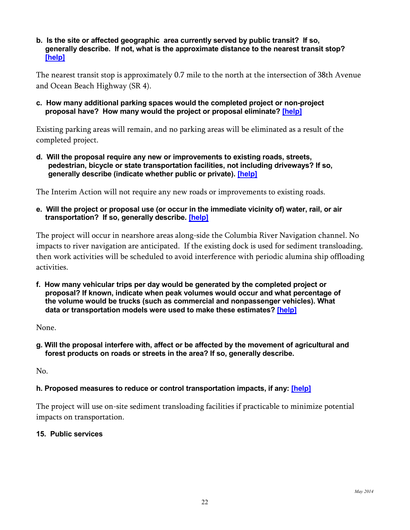**b. Is the site or affected geographic area currently served by public transit? If so, generally describe. If not, what is the approximate distance to the nearest transit stop? [\[help\]](http://sepaguidance.epermitting.org/DesktopModules/help.aspx?project=0&node=674)**

The nearest transit stop is approximately 0.7 mile to the north at the intersection of 38th Avenue and Ocean Beach Highway (SR 4).

**c. How many additional parking spaces would the completed project or non-project proposal have? How many would the project or proposal eliminate? [\[help\]](http://sepaguidance.epermitting.org/DesktopModules/help.aspx?project=0&node=675)**

Existing parking areas will remain, and no parking areas will be eliminated as a result of the completed project.

**d. Will the proposal require any new or improvements to existing roads, streets, pedestrian, bicycle or state transportation facilities, not including driveways? If so, generally describe (indicate whether public or private). [\[help\]](http://sepaguidance.epermitting.org/DesktopModules/help.aspx?project=0&node=676)**

The Interim Action will not require any new roads or improvements to existing roads.

**e. Will the project or proposal use (or occur in the immediate vicinity of) water, rail, or air transportation? If so, generally describe. [\[help\]](http://sepaguidance.epermitting.org/DesktopModules/help.aspx?project=0&node=677)**

The project will occur in nearshore areas along-side the Columbia River Navigation channel. No impacts to river navigation are anticipated. If the existing dock is used for sediment transloading, then work activities will be scheduled to avoid interference with periodic alumina ship offloading activities.

**f. How many vehicular trips per day would be generated by the completed project or proposal? If known, indicate when peak volumes would occur and what percentage of the volume would be trucks (such as commercial and nonpassenger vehicles). What data or transportation models were used to make these estimates? [\[help\]](http://sepaguidance.epermitting.org/DesktopModules/help.aspx?project=0&node=678)**

None.

**g. Will the proposal interfere with, affect or be affected by the movement of agricultural and forest products on roads or streets in the area? If so, generally describe.**

No.

## **h. Proposed measures to reduce or control transportation impacts, if any: [\[help\]](http://sepaguidance.epermitting.org/DesktopModules/help.aspx?project=0&node=679)**

The project will use on-site sediment transloading facilities if practicable to minimize potential impacts on transportation.

#### **15. Public services**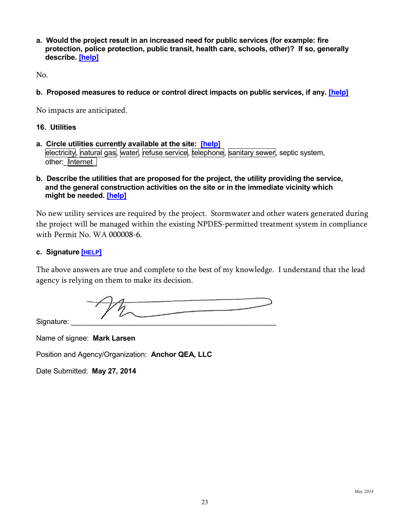**a. Would the project result in an increased need for public services (for example: fire protection, police protection, public transit, health care, schools, other)? If so, generally describe. [\[help\]](http://sepaguidance.epermitting.org/DesktopModules/help.aspx?project=0&node=681)**

No.

**b. Proposed measures to reduce or control direct impacts on public services, if any. [\[help\]](http://sepaguidance.epermitting.org/DesktopModules/help.aspx?project=0&node=682)**

No impacts are anticipated.

#### **16. Utilities**

- **a. Circle utilities currently available at the site: [\[help\]](http://sepaguidance.epermitting.org/DesktopModules/help.aspx?project=0&node=684)** electricity, natural gas, water, refuse service, telephone, sanitary sewer, septic system, other: Internet
- **b. Describe the utilities that are proposed for the project, the utility providing the service, and the general construction activities on the site or in the immediate vicinity which might be needed. [\[help\]](http://sepaguidance.epermitting.org/DesktopModules/help.aspx?project=0&node=685)**

No new utility services are required by the project. Stormwater and other waters generated during the project will be managed within the existing NPDES-permitted treatment system in compliance with Permit No. WA 000008-6.

#### **c. Signature [\[HELP\]](http://sepaguidance.epermitting.wa.gov/DesktopModules/help.aspx?project=0&node=686)**

The above answers are true and complete to the best of my knowledge. I understand that the lead agency is relying on them to make its decision.

Signature:

Name of signee: **Mark Larsen**

Position and Agency/Organization: **Anchor QEA, LLC**

<span id="page-22-0"></span>Date Submitted: **May 27, 2014**